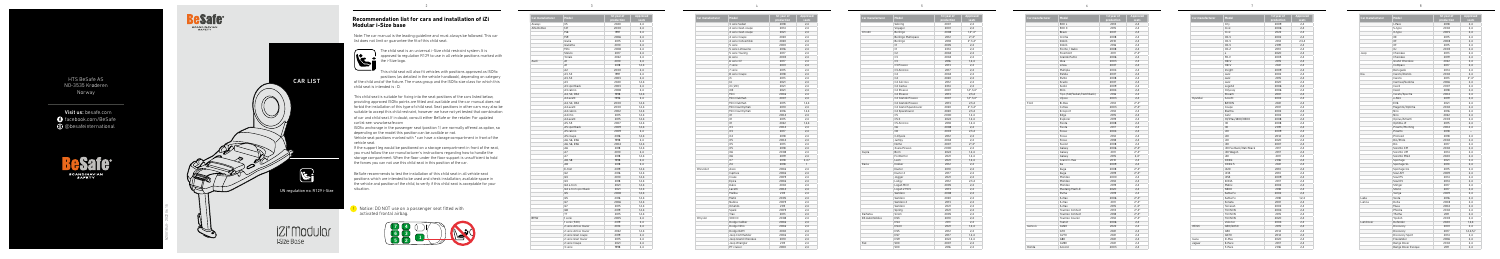## **Recommendation list for cars and installation of iZi Modular i-Size base**

Note: The car manual is the leading guideline and must always be followed. This car

list does not limit or guarantee the fit of this child seat.

The child seat is an universal i-Size child restraint system. It is approved to regulation R129 to use in all vehicle positions marked with



This child seat will also fit vehicles with positions approved as ISOfix positions (as detailed in the vehicle handbook), depending on category

of the child and of the fixture. The mass group and the ISOfix size class for which this child seat is intended is : D.

This child seat is suitable for fixing into the seat positions of the cars listed below, providing approved ISOfix points are fitted and available and the car manual does not forbid the installation of this type of child seat. Seat positions in other cars may also be suitable to accept this child restraint, however we have not yet tested that combination of car and child seat. If in doubt, consult either BeSafe or the retailer. For updated carlist see: www.besafe.com

ISOfix anchorage in the passenger seat (position 1) are normally offered as option, so depending on the model this position can be availble or not.

Vehicle seat positions marked with \* can have a storage compartment in front of the vehicle seat.

If the support leg would be positioned on a storage compartment in front of the seat, you must follow the car manufacturer's instructions regarding how to handle the storage compartment. When the floor under the floor support is unsufficient to hold the forces you can not use this child seat in this position of the car.

BeSafe recommends to test the installation of this child seat in all vehicle seat positions which are intended to be used and check installation, available space in the vehicle and position of the child, to verify if this child seat is acceptable for your situation.

| Car manufacturer | Model               | 1st year of<br>production | Approved<br>seats |
|------------------|---------------------|---------------------------|-------------------|
|                  | 3 serie Sedan       | 2018                      | 2,4               |
|                  | 4 serie Gran coupe  | 2014                      | 2,4               |
|                  | 4 serie Gran coupe  | 2021                      | 2.4               |
|                  | 4 serie Coupe       | 2020                      | 2,4               |
|                  | 4 serie Convertible | 2020                      | 2.4               |
|                  | 5 serie             | 2000                      | 2,4               |
|                  | 5 serie Limousine   | 2016                      | 2,4               |
|                  | 5 serie Touring     | 2017                      | 2,4               |
|                  | 6 serie             | 2003                      | 2,4               |
|                  | 6 serie GT          | 2017                      | 2.4               |
|                  | 7 serie             | 2001                      | 2.4               |
|                  | 7 serie             | 2015                      | 2,4               |
|                  | 8 serie Coupe       | 2018                      | 2,4               |
|                  | i3                  | 2013                      | 2,4               |
|                  | 4                   | 2021                      | 2,4               |
|                  | iX (i20)            | 2021                      | 2.4               |
|                  | iX3                 | 2021                      | 2.4               |
|                  | Mini                | 2006                      | 2,4               |
|                  | Mini Clubman        | 2007                      | 2,4               |
|                  | Mini Clubman        | 2015                      |                   |
|                  |                     |                           | 1,2,4             |
|                  | Mini Countryman     | 2010                      | 2.4               |
|                  | Mini Countryman     | 2016                      | 1,2,4             |
|                  | X1                  | 2004                      | 2,4               |
|                  | X1                  | 2015                      | 2,4               |
|                  | X1                  | 2022                      | 1,2,4             |
|                  | X3                  | 2004                      | 2,4               |
|                  | X3                  | 2017                      | 2,4               |
|                  | X4                  | 2018                      | 2.4               |
|                  | X5                  | 2004                      | 2,4               |
|                  | X5                  | 2013                      | 2,4               |
|                  | X <sub>5</sub>      | 2018                      | 2.4               |
|                  | X <sub>6</sub>      | 2008                      | 2,4               |
|                  | X <sub>6</sub>      | 2019                      | 2.4               |
|                  | <b>X7</b>           | 2018                      | 2,4,7             |
|                  | Z4                  | 2018                      | 1                 |
| Chevrolet        | Aveo                | 2006                      | 2,4               |
|                  | Captiva             | 2006                      | 2,4               |
|                  | Cruze               | 2009                      | 2.4               |
|                  | Epica               | 2006                      | 2,4               |
|                  | Kalos               | 2002                      | 2.4               |
|                  | Lacetti             | 2004                      | 2,4               |
|                  | Malibu              | 2011                      | 2,4               |
|                  | Matiz               | 2005                      | 2,4               |
|                  | Nubira              | 2009                      | 2.4               |
|                  | Orlando             | 2011                      | 2.4               |
|                  | Spark               | 2009                      | 2,4               |
|                  | Trax                | 2013                      | 2,4               |
| Chrysler         | 300 CC              | 2008                      | 2,4               |
|                  | Dodge Caliber       | 2006                      | 2,4               |
|                  | Dodge Nitro         | 2006                      | 2,4               |
|                  | Dodge RAM           | 2002                      | 2,4               |
|                  | Jeep Commander      | 2006                      | 2,4               |
|                  | Jeep Grand Cherokee | 2010                      | 2,4               |
|                  | Jeep Wrangler       | 2011                      | 2,4               |
|                  | PT cruiser          | 2000                      | 2,4               |
|                  |                     |                           |                   |

| Sebring<br>2007<br>2.4<br>2001<br>2,4<br>Voyager<br>Citroën<br>Berlingo<br>2008<br>$1.2^*$ .4*<br>Berlingo Multispace<br>2012<br>$2^*$ , 4*<br>2018<br>$2^*, 3, 4^*$<br>Berlingo<br>C1<br>2005<br>2,4<br>C1<br>2014<br>2,4<br>C <sub>2</sub><br>2004<br>2.4<br>C3<br>2004<br>2,4<br>C <sub>3</sub><br>2016<br>1.2.4<br>C3 Picasso<br>2013<br>2,4<br>C3 Aircross<br>2017<br>2.4<br>C4<br>2004<br>2,4<br>C4<br>2020<br>2.4<br>C4 Aircross<br>2012<br>2,4<br>C4 Cactus<br>2014<br>2,4<br>C4 Picasso<br>2007<br>$1,2^*,3,4^*$<br>C4 Picasso<br>2,3,4<br>2013<br>C4 Grande Picasso<br>2007<br>$1,2^*,3,4^*$<br>C4 Grande Picasso<br>2013<br>2,3,4<br>$2^*$ , 3, 4 $*$<br>C4 Grand Spacetourer<br>2020<br>C4 Spacetourer<br>2020<br>2,3,4<br>C <sub>5</sub><br>2000<br>1.2.4<br>C5X<br>2022<br>1.2.4<br>C5 Aircross<br>2018<br>1.2.4<br>C <sub>6</sub><br>2008<br>2,4<br>C <sub>8</sub><br>2003<br>2,3,4<br>C-Elysée<br>2012<br>2,4<br>Jumpy<br>2004<br>2,4<br>Nemo<br>2007<br>$2^*$ , 4 <sup>*</sup><br>Xsara Picasso<br>2000<br>2.4<br>Cupra<br><b>Born</b><br>2022<br>1,2,4<br>Formentor<br>2021<br>1,2,4<br>2021<br>Leon<br>1,2,4<br>Dacia<br>Dokker<br>2,4<br>2012<br>Duster<br>2010<br>2.4<br>Duster <sub>2</sub><br>2017<br>2.4<br>2021<br>Jogger<br>2,4<br>2012<br>2,3,4<br>Lodgy<br>Logan MCV<br>2005<br>2,4<br>Logan 2 MCV<br>2013<br>2,4<br>Sandero<br>2008<br>2,4<br>Sandero<br>2020<br>2.4<br>Sandero 2<br>2013<br>2,4<br>Sandero<br>2021<br>2.4<br>Spring<br>2021<br>2,4<br>Daihatsu<br>2005<br>Sirion<br>2.4<br><b>DS Automobiles</b><br>DS3<br>2010<br>2,4<br>DS4<br>2011<br>2.4<br>DS4 II<br>2021<br>1.2.4<br>DS5<br>2012<br>2,4<br>DS7<br>2017<br>1,2,4<br>DS9<br>2022<br>1,2,4<br>Fiat<br>2007<br>500<br>2,4 | Car manufacturer | Model | 1st year of<br>production | Approved<br>seats |
|---------------------------------------------------------------------------------------------------------------------------------------------------------------------------------------------------------------------------------------------------------------------------------------------------------------------------------------------------------------------------------------------------------------------------------------------------------------------------------------------------------------------------------------------------------------------------------------------------------------------------------------------------------------------------------------------------------------------------------------------------------------------------------------------------------------------------------------------------------------------------------------------------------------------------------------------------------------------------------------------------------------------------------------------------------------------------------------------------------------------------------------------------------------------------------------------------------------------------------------------------------------------------------------------------------------------------------------------------------------------------------------------------------------------------------------------------------------------------------------------------------------------------------------------------------------------------------------------------------------------------------------------------------------------------------------------------------------------------|------------------|-------|---------------------------|-------------------|
|                                                                                                                                                                                                                                                                                                                                                                                                                                                                                                                                                                                                                                                                                                                                                                                                                                                                                                                                                                                                                                                                                                                                                                                                                                                                                                                                                                                                                                                                                                                                                                                                                                                                                                                           |                  |       |                           |                   |
|                                                                                                                                                                                                                                                                                                                                                                                                                                                                                                                                                                                                                                                                                                                                                                                                                                                                                                                                                                                                                                                                                                                                                                                                                                                                                                                                                                                                                                                                                                                                                                                                                                                                                                                           |                  |       |                           |                   |
|                                                                                                                                                                                                                                                                                                                                                                                                                                                                                                                                                                                                                                                                                                                                                                                                                                                                                                                                                                                                                                                                                                                                                                                                                                                                                                                                                                                                                                                                                                                                                                                                                                                                                                                           |                  |       |                           |                   |
|                                                                                                                                                                                                                                                                                                                                                                                                                                                                                                                                                                                                                                                                                                                                                                                                                                                                                                                                                                                                                                                                                                                                                                                                                                                                                                                                                                                                                                                                                                                                                                                                                                                                                                                           |                  |       |                           |                   |
|                                                                                                                                                                                                                                                                                                                                                                                                                                                                                                                                                                                                                                                                                                                                                                                                                                                                                                                                                                                                                                                                                                                                                                                                                                                                                                                                                                                                                                                                                                                                                                                                                                                                                                                           |                  |       |                           |                   |
|                                                                                                                                                                                                                                                                                                                                                                                                                                                                                                                                                                                                                                                                                                                                                                                                                                                                                                                                                                                                                                                                                                                                                                                                                                                                                                                                                                                                                                                                                                                                                                                                                                                                                                                           |                  |       |                           |                   |
|                                                                                                                                                                                                                                                                                                                                                                                                                                                                                                                                                                                                                                                                                                                                                                                                                                                                                                                                                                                                                                                                                                                                                                                                                                                                                                                                                                                                                                                                                                                                                                                                                                                                                                                           |                  |       |                           |                   |
|                                                                                                                                                                                                                                                                                                                                                                                                                                                                                                                                                                                                                                                                                                                                                                                                                                                                                                                                                                                                                                                                                                                                                                                                                                                                                                                                                                                                                                                                                                                                                                                                                                                                                                                           |                  |       |                           |                   |
|                                                                                                                                                                                                                                                                                                                                                                                                                                                                                                                                                                                                                                                                                                                                                                                                                                                                                                                                                                                                                                                                                                                                                                                                                                                                                                                                                                                                                                                                                                                                                                                                                                                                                                                           |                  |       |                           |                   |
|                                                                                                                                                                                                                                                                                                                                                                                                                                                                                                                                                                                                                                                                                                                                                                                                                                                                                                                                                                                                                                                                                                                                                                                                                                                                                                                                                                                                                                                                                                                                                                                                                                                                                                                           |                  |       |                           |                   |
|                                                                                                                                                                                                                                                                                                                                                                                                                                                                                                                                                                                                                                                                                                                                                                                                                                                                                                                                                                                                                                                                                                                                                                                                                                                                                                                                                                                                                                                                                                                                                                                                                                                                                                                           |                  |       |                           |                   |
|                                                                                                                                                                                                                                                                                                                                                                                                                                                                                                                                                                                                                                                                                                                                                                                                                                                                                                                                                                                                                                                                                                                                                                                                                                                                                                                                                                                                                                                                                                                                                                                                                                                                                                                           |                  |       |                           |                   |
|                                                                                                                                                                                                                                                                                                                                                                                                                                                                                                                                                                                                                                                                                                                                                                                                                                                                                                                                                                                                                                                                                                                                                                                                                                                                                                                                                                                                                                                                                                                                                                                                                                                                                                                           |                  |       |                           |                   |
|                                                                                                                                                                                                                                                                                                                                                                                                                                                                                                                                                                                                                                                                                                                                                                                                                                                                                                                                                                                                                                                                                                                                                                                                                                                                                                                                                                                                                                                                                                                                                                                                                                                                                                                           |                  |       |                           |                   |
|                                                                                                                                                                                                                                                                                                                                                                                                                                                                                                                                                                                                                                                                                                                                                                                                                                                                                                                                                                                                                                                                                                                                                                                                                                                                                                                                                                                                                                                                                                                                                                                                                                                                                                                           |                  |       |                           |                   |
|                                                                                                                                                                                                                                                                                                                                                                                                                                                                                                                                                                                                                                                                                                                                                                                                                                                                                                                                                                                                                                                                                                                                                                                                                                                                                                                                                                                                                                                                                                                                                                                                                                                                                                                           |                  |       |                           |                   |
|                                                                                                                                                                                                                                                                                                                                                                                                                                                                                                                                                                                                                                                                                                                                                                                                                                                                                                                                                                                                                                                                                                                                                                                                                                                                                                                                                                                                                                                                                                                                                                                                                                                                                                                           |                  |       |                           |                   |
|                                                                                                                                                                                                                                                                                                                                                                                                                                                                                                                                                                                                                                                                                                                                                                                                                                                                                                                                                                                                                                                                                                                                                                                                                                                                                                                                                                                                                                                                                                                                                                                                                                                                                                                           |                  |       |                           |                   |
|                                                                                                                                                                                                                                                                                                                                                                                                                                                                                                                                                                                                                                                                                                                                                                                                                                                                                                                                                                                                                                                                                                                                                                                                                                                                                                                                                                                                                                                                                                                                                                                                                                                                                                                           |                  |       |                           |                   |
|                                                                                                                                                                                                                                                                                                                                                                                                                                                                                                                                                                                                                                                                                                                                                                                                                                                                                                                                                                                                                                                                                                                                                                                                                                                                                                                                                                                                                                                                                                                                                                                                                                                                                                                           |                  |       |                           |                   |
|                                                                                                                                                                                                                                                                                                                                                                                                                                                                                                                                                                                                                                                                                                                                                                                                                                                                                                                                                                                                                                                                                                                                                                                                                                                                                                                                                                                                                                                                                                                                                                                                                                                                                                                           |                  |       |                           |                   |
|                                                                                                                                                                                                                                                                                                                                                                                                                                                                                                                                                                                                                                                                                                                                                                                                                                                                                                                                                                                                                                                                                                                                                                                                                                                                                                                                                                                                                                                                                                                                                                                                                                                                                                                           |                  |       |                           |                   |
|                                                                                                                                                                                                                                                                                                                                                                                                                                                                                                                                                                                                                                                                                                                                                                                                                                                                                                                                                                                                                                                                                                                                                                                                                                                                                                                                                                                                                                                                                                                                                                                                                                                                                                                           |                  |       |                           |                   |
|                                                                                                                                                                                                                                                                                                                                                                                                                                                                                                                                                                                                                                                                                                                                                                                                                                                                                                                                                                                                                                                                                                                                                                                                                                                                                                                                                                                                                                                                                                                                                                                                                                                                                                                           |                  |       |                           |                   |
|                                                                                                                                                                                                                                                                                                                                                                                                                                                                                                                                                                                                                                                                                                                                                                                                                                                                                                                                                                                                                                                                                                                                                                                                                                                                                                                                                                                                                                                                                                                                                                                                                                                                                                                           |                  |       |                           |                   |
|                                                                                                                                                                                                                                                                                                                                                                                                                                                                                                                                                                                                                                                                                                                                                                                                                                                                                                                                                                                                                                                                                                                                                                                                                                                                                                                                                                                                                                                                                                                                                                                                                                                                                                                           |                  |       |                           |                   |
|                                                                                                                                                                                                                                                                                                                                                                                                                                                                                                                                                                                                                                                                                                                                                                                                                                                                                                                                                                                                                                                                                                                                                                                                                                                                                                                                                                                                                                                                                                                                                                                                                                                                                                                           |                  |       |                           |                   |
|                                                                                                                                                                                                                                                                                                                                                                                                                                                                                                                                                                                                                                                                                                                                                                                                                                                                                                                                                                                                                                                                                                                                                                                                                                                                                                                                                                                                                                                                                                                                                                                                                                                                                                                           |                  |       |                           |                   |
|                                                                                                                                                                                                                                                                                                                                                                                                                                                                                                                                                                                                                                                                                                                                                                                                                                                                                                                                                                                                                                                                                                                                                                                                                                                                                                                                                                                                                                                                                                                                                                                                                                                                                                                           |                  |       |                           |                   |
|                                                                                                                                                                                                                                                                                                                                                                                                                                                                                                                                                                                                                                                                                                                                                                                                                                                                                                                                                                                                                                                                                                                                                                                                                                                                                                                                                                                                                                                                                                                                                                                                                                                                                                                           |                  |       |                           |                   |
|                                                                                                                                                                                                                                                                                                                                                                                                                                                                                                                                                                                                                                                                                                                                                                                                                                                                                                                                                                                                                                                                                                                                                                                                                                                                                                                                                                                                                                                                                                                                                                                                                                                                                                                           |                  |       |                           |                   |
|                                                                                                                                                                                                                                                                                                                                                                                                                                                                                                                                                                                                                                                                                                                                                                                                                                                                                                                                                                                                                                                                                                                                                                                                                                                                                                                                                                                                                                                                                                                                                                                                                                                                                                                           |                  |       |                           |                   |
|                                                                                                                                                                                                                                                                                                                                                                                                                                                                                                                                                                                                                                                                                                                                                                                                                                                                                                                                                                                                                                                                                                                                                                                                                                                                                                                                                                                                                                                                                                                                                                                                                                                                                                                           |                  |       |                           |                   |
|                                                                                                                                                                                                                                                                                                                                                                                                                                                                                                                                                                                                                                                                                                                                                                                                                                                                                                                                                                                                                                                                                                                                                                                                                                                                                                                                                                                                                                                                                                                                                                                                                                                                                                                           |                  |       |                           |                   |
|                                                                                                                                                                                                                                                                                                                                                                                                                                                                                                                                                                                                                                                                                                                                                                                                                                                                                                                                                                                                                                                                                                                                                                                                                                                                                                                                                                                                                                                                                                                                                                                                                                                                                                                           |                  |       |                           |                   |
|                                                                                                                                                                                                                                                                                                                                                                                                                                                                                                                                                                                                                                                                                                                                                                                                                                                                                                                                                                                                                                                                                                                                                                                                                                                                                                                                                                                                                                                                                                                                                                                                                                                                                                                           |                  |       |                           |                   |
|                                                                                                                                                                                                                                                                                                                                                                                                                                                                                                                                                                                                                                                                                                                                                                                                                                                                                                                                                                                                                                                                                                                                                                                                                                                                                                                                                                                                                                                                                                                                                                                                                                                                                                                           |                  |       |                           |                   |
|                                                                                                                                                                                                                                                                                                                                                                                                                                                                                                                                                                                                                                                                                                                                                                                                                                                                                                                                                                                                                                                                                                                                                                                                                                                                                                                                                                                                                                                                                                                                                                                                                                                                                                                           |                  |       |                           |                   |
|                                                                                                                                                                                                                                                                                                                                                                                                                                                                                                                                                                                                                                                                                                                                                                                                                                                                                                                                                                                                                                                                                                                                                                                                                                                                                                                                                                                                                                                                                                                                                                                                                                                                                                                           |                  |       |                           |                   |
|                                                                                                                                                                                                                                                                                                                                                                                                                                                                                                                                                                                                                                                                                                                                                                                                                                                                                                                                                                                                                                                                                                                                                                                                                                                                                                                                                                                                                                                                                                                                                                                                                                                                                                                           |                  |       |                           |                   |
|                                                                                                                                                                                                                                                                                                                                                                                                                                                                                                                                                                                                                                                                                                                                                                                                                                                                                                                                                                                                                                                                                                                                                                                                                                                                                                                                                                                                                                                                                                                                                                                                                                                                                                                           |                  |       |                           |                   |
|                                                                                                                                                                                                                                                                                                                                                                                                                                                                                                                                                                                                                                                                                                                                                                                                                                                                                                                                                                                                                                                                                                                                                                                                                                                                                                                                                                                                                                                                                                                                                                                                                                                                                                                           |                  |       |                           |                   |
|                                                                                                                                                                                                                                                                                                                                                                                                                                                                                                                                                                                                                                                                                                                                                                                                                                                                                                                                                                                                                                                                                                                                                                                                                                                                                                                                                                                                                                                                                                                                                                                                                                                                                                                           |                  |       |                           |                   |
|                                                                                                                                                                                                                                                                                                                                                                                                                                                                                                                                                                                                                                                                                                                                                                                                                                                                                                                                                                                                                                                                                                                                                                                                                                                                                                                                                                                                                                                                                                                                                                                                                                                                                                                           |                  |       |                           |                   |
|                                                                                                                                                                                                                                                                                                                                                                                                                                                                                                                                                                                                                                                                                                                                                                                                                                                                                                                                                                                                                                                                                                                                                                                                                                                                                                                                                                                                                                                                                                                                                                                                                                                                                                                           |                  |       |                           |                   |
|                                                                                                                                                                                                                                                                                                                                                                                                                                                                                                                                                                                                                                                                                                                                                                                                                                                                                                                                                                                                                                                                                                                                                                                                                                                                                                                                                                                                                                                                                                                                                                                                                                                                                                                           |                  |       |                           |                   |
|                                                                                                                                                                                                                                                                                                                                                                                                                                                                                                                                                                                                                                                                                                                                                                                                                                                                                                                                                                                                                                                                                                                                                                                                                                                                                                                                                                                                                                                                                                                                                                                                                                                                                                                           |                  |       |                           |                   |
|                                                                                                                                                                                                                                                                                                                                                                                                                                                                                                                                                                                                                                                                                                                                                                                                                                                                                                                                                                                                                                                                                                                                                                                                                                                                                                                                                                                                                                                                                                                                                                                                                                                                                                                           |                  |       |                           |                   |
|                                                                                                                                                                                                                                                                                                                                                                                                                                                                                                                                                                                                                                                                                                                                                                                                                                                                                                                                                                                                                                                                                                                                                                                                                                                                                                                                                                                                                                                                                                                                                                                                                                                                                                                           |                  |       |                           |                   |
|                                                                                                                                                                                                                                                                                                                                                                                                                                                                                                                                                                                                                                                                                                                                                                                                                                                                                                                                                                                                                                                                                                                                                                                                                                                                                                                                                                                                                                                                                                                                                                                                                                                                                                                           |                  |       |                           |                   |
|                                                                                                                                                                                                                                                                                                                                                                                                                                                                                                                                                                                                                                                                                                                                                                                                                                                                                                                                                                                                                                                                                                                                                                                                                                                                                                                                                                                                                                                                                                                                                                                                                                                                                                                           |                  |       |                           |                   |
|                                                                                                                                                                                                                                                                                                                                                                                                                                                                                                                                                                                                                                                                                                                                                                                                                                                                                                                                                                                                                                                                                                                                                                                                                                                                                                                                                                                                                                                                                                                                                                                                                                                                                                                           |                  |       |                           |                   |
|                                                                                                                                                                                                                                                                                                                                                                                                                                                                                                                                                                                                                                                                                                                                                                                                                                                                                                                                                                                                                                                                                                                                                                                                                                                                                                                                                                                                                                                                                                                                                                                                                                                                                                                           |                  |       |                           |                   |
|                                                                                                                                                                                                                                                                                                                                                                                                                                                                                                                                                                                                                                                                                                                                                                                                                                                                                                                                                                                                                                                                                                                                                                                                                                                                                                                                                                                                                                                                                                                                                                                                                                                                                                                           |                  |       |                           |                   |
|                                                                                                                                                                                                                                                                                                                                                                                                                                                                                                                                                                                                                                                                                                                                                                                                                                                                                                                                                                                                                                                                                                                                                                                                                                                                                                                                                                                                                                                                                                                                                                                                                                                                                                                           |                  |       |                           |                   |
|                                                                                                                                                                                                                                                                                                                                                                                                                                                                                                                                                                                                                                                                                                                                                                                                                                                                                                                                                                                                                                                                                                                                                                                                                                                                                                                                                                                                                                                                                                                                                                                                                                                                                                                           |                  | 500   | 2016                      | 2,4               |
|                                                                                                                                                                                                                                                                                                                                                                                                                                                                                                                                                                                                                                                                                                                                                                                                                                                                                                                                                                                                                                                                                                                                                                                                                                                                                                                                                                                                                                                                                                                                                                                                                                                                                                                           |                  |       |                           |                   |

| Car manufacturer | Model                 | 1st year of<br>production | Approved<br>seats |
|------------------|-----------------------|---------------------------|-------------------|
| Aiways           | U <sub>5</sub>        | 2020                      | 2,4               |
| Alfa Romeo       | 147                   | 2000                      | 2.4               |
|                  | 156                   | 1997                      | 2,4               |
|                  | 159                   | 2006                      | 2,4               |
|                  | Giulia                | 2015                      | 2,4               |
|                  | Giulietta             | 2010                      | 2,4               |
|                  | Mito                  | 2008                      | 2,4               |
|                  | Stelvio               | 2017                      | 2,4               |
|                  | Tonale                | 2022                      | 2,4               |
| Audi             | A1                    | 2010                      | 2,4               |
|                  | A1                    | 2018                      | 1,2,4             |
|                  | A2                    | 2000                      | 2.4               |
|                  | A3, S3                | 1997                      | 2,4               |
|                  | A3, S3                | 2003                      | 2,4               |
|                  | A3                    | 2020                      | 1,2,4             |
|                  | A3 sportback          | 2003                      | 2,4               |
|                  | A3 cabrio             | 2008                      | 2,4               |
|                  | A4, S4, RS4           | 1998                      | 1,2,4             |
|                  | A4 avant              | 1996                      | 2,4               |
|                  | A4, S4, RS4           | 2000                      | 1, 2, 4           |
|                  | A4 avant              | 2000                      | 1.2.4             |
|                  | A4 cabrio             | 2002                      | 1.2.4             |
|                  | A4 imo                | 2015                      | 1, 2, 4           |
|                  | A4 avant              | 2015                      | 1, 2, 4           |
|                  | A5, S5                | 2007                      | 1,2,4             |
|                  | A5 sportback          | 2009                      | 1,2,4             |
|                  | A5 cabrio             | 2009                      | 2.4               |
|                  | A5 coupe              | 2016                      | 1,2,4             |
|                  | A6, S6, RS6           | 1998                      | 2,4               |
|                  | A6, S6, RS6           | 2004                      | 1,2,4             |
|                  | A <sub>6</sub>        | 2018                      | 1.2.4             |
|                  | A7                    | 2010                      | 2,4               |
|                  | A7                    | 2018<br>1998              | 1,2,4             |
|                  | A8, S8                |                           | 2,4               |
|                  | A8                    | 2018                      | 2.4               |
|                  | E-tron                | 2019                      | 1,2,4             |
|                  | Q2<br>Q <sub>3</sub>  | 2016<br>2010              | 1, 2, 4<br>1,2,4  |
|                  | Q <sub>3</sub>        | 2018                      | 1, 2, 4           |
|                  | Q4 e-tron             | 2021                      | 1,2,4             |
|                  | Q4 e-tron sportback   | 2021                      | 1.2.4             |
|                  | Q <sub>5</sub>        | 2008                      | 1,2,4             |
|                  | Q5                    | 2016                      | 1, 2, 4           |
|                  | $Q$ 7                 | 2006                      | 1, 2, 4           |
|                  | Q7                    | 2015                      | 1,2,4             |
|                  | Q8                    | 2019                      | 1, 2, 4           |
|                  | TT                    | 2015                      | 1,2,4             |
| <b>BMW</b>       | 1 serie               | 2005                      | 2,4               |
|                  | 1 serie (F40)         | 2019                      | 2,4               |
|                  | 2 serie Active tourer | 2014                      | 2.4               |
|                  | 2 serie Active tourer | 2022                      | 1,2,4             |
|                  | 2 serie Gran coupe    | 2019                      | 2,4               |
|                  | 2 serie Gran tourer   | 2015                      | 2,4               |
|                  | 2 serie Coupe         | 2021                      | 2,4               |
|                  | 3 serie               | 1998                      | 2,4               |
|                  |                       |                           |                   |



the company of the company

! Notice: DO NOT use on a passenger seat fitted with activated frontal airbag.

| Model                     | 1st year of<br>production | Approved<br>seats      |
|---------------------------|---------------------------|------------------------|
| 500 L                     | 2013                      | 2,4                    |
| 500 X                     | 2015                      | 2,4                    |
| Bravo                     | 2007                      | 2,4                    |
| Croma                     | 2008                      | 2,4                    |
| Doblò                     | 2010                      | 2,4                    |
| Doblò                     | 2016                      | 2,4                    |
| Fiorno / Qubo             | 2008                      | 2,4                    |
| Freemont                  | 2011                      | $2^*$ .4*              |
| Grande Punto              | 2006                      | 2,4                    |
| Idea                      | 2003                      | 2,4                    |
| Linea                     | 2007                      | 2,4                    |
| Multipla                  | 2004                      | 2,4                    |
| Panda                     | 2007                      | 2,4                    |
| Punto                     | 2008                      | 2,4                    |
| Scudo                     | 2007                      | 2,4                    |
| Sedici                    | 2009                      | 2,4                    |
| Stilo                     | 2004                      | 2,4                    |
| Tipo (SW/Sedan/Hatchback) | 2016                      | 2,4                    |
| Ulysse                    | 2003                      | 2,4                    |
| B-max                     | 2012                      | $2^*$ ,4 $*$           |
| C-max                     | 2003                      | $2^*$ , $4^*$          |
| Ecosport                  | 2014                      | 2,4                    |
| Edge                      | 2015                      | 2,4                    |
| Explorer                  | 2019                      | 2,4                    |
| Fiesta                    | 2008                      | 2,4                    |
| Fiesta                    | 2017                      | 2,4                    |
| Focus                     | 2004                      | 2,4                    |
| Focus                     | 2014                      | 2,4                    |
| Focus                     | 2018                      | 2,4                    |
| Fusion                    | 2008                      | 2,4                    |
| Galaxy                    | 2006                      | $2^*$ ,4 $*$           |
| Galaxy                    | 2011                      | $2^*$ , 4 <sup>*</sup> |
| Galaxy                    | 2015                      | $2,4*$                 |
| Grand C-max               | 2010                      | 2,4                    |
| Ka                        | 2009                      | 2,4                    |
| Kuga                      | 2008                      | $2^*A^*$               |
| Kuga                      | 2019                      | $2^*$ ,4 $*$           |
| Mondeo                    | 2000                      | 2,4                    |
| Mondeo                    | 2014                      | 2,4                    |
| Mondeo                    | 2019                      | 2,4                    |
| Mustang Mach-E            | 2020                      | 2,4                    |
| Puma                      | 2019                      | 2,4                    |
| S-max                     | 2006                      | $2^* .4^*$             |
| S-max                     | 2011                      | $2^*$ .4*              |
| S-max                     | 2015                      | $2, 4^*$               |
| Tourneo Connect           | 2013                      | $2^*$ , $4^*$          |
| Tourneo Connect           | 2018                      | $2^*$ , $4^*$          |
| Tourneo Courier           | 2014                      | $2^*$ ,4 $*$           |
| Transit                   | 2006                      | 2,4                    |
| GV60                      | 2022                      | 2,4                    |
| G70                       | 2021                      | 2,4                    |
| GV70                      | 2021                      | 2,4                    |
| G80                       | 2021                      | 2,4                    |
| GV80<br>Accord            | 2021<br>2003              | 2,4<br>2 <sub>A</sub>  |
|                           |                           |                        |

| Car manufacturer | Model                     | 1st year of | <b>Approv</b>          |
|------------------|---------------------------|-------------|------------------------|
|                  |                           | production  | seat:                  |
|                  | 500L                      | 2013        | 2,4                    |
|                  | 500 X                     | 2015        | 2,4                    |
|                  | Bravo                     | 2007        | 2,4                    |
|                  | Croma                     | 2008        | 2,4                    |
|                  | Doblò                     | 2010        | 2,4                    |
|                  | Doblò                     | 2016        | 2,4                    |
|                  | Fiorno / Qubo             | 2008        | 2,4                    |
|                  | Freemont                  | 2011        | $2^*$ , 4 <sup>*</sup> |
|                  | Grande Punto              | 2006        | 2,4                    |
|                  | Idea                      | 2003        | 2,4                    |
|                  | Linea                     | 2007        | 2,4                    |
|                  | Multipla                  | 2004        | 2,4                    |
|                  | Panda                     | 2007        | 2,4                    |
|                  | Punto                     | 2008        | 2,4                    |
|                  | Scudo                     | 2007        | 2,4                    |
|                  | Sedici                    | 2009        | 2.4                    |
|                  | Stilo                     | 2004        | 2,4                    |
|                  | Tipo (SW/Sedan/Hatchback) | 2016        | 2,4                    |
|                  | Ulysse                    | 2003        | 2,4                    |
| Ford             | B-max                     | 2012        | $2^*$ .4*              |
|                  | C-max                     | 2003        | $2^*$ , 4 <sup>*</sup> |
|                  | Ecosport                  | 2014        | 2,4                    |
|                  | Edge                      | 2015        | 2,4                    |
|                  | Explorer                  | 2019        | 2,4                    |
|                  | Fiesta                    | 2008        | 2,4                    |
|                  | Fiesta                    | 2017        | 2,4                    |
|                  | Focus                     | 2004        | 2,4                    |
|                  | Focus                     | 2014        | 2,4                    |
|                  | Focus                     | 2018        | 2.4                    |
|                  | Fusion                    | 2008        | 2,4                    |
|                  | Galaxy                    | 2006        | $2^*$ ,4 $*$           |
|                  | Galaxy                    | 2011        | $2^*$ , $4^*$          |
|                  | Galaxy                    | 2015        | $2,4*$                 |
|                  | Grand C-max               | 2010        | 2,4                    |
|                  | Ka                        | 2009        | 2,4                    |
|                  | Kuga                      | 2008        | $2^*$ , $4^*$          |
|                  | Kuga                      | 2019        | $2^*$ , $4^*$          |
|                  | Mondeo                    | 2000        | 2,4                    |
|                  | Mondeo                    | 2014        | 2,4                    |
|                  | Mondeo                    | 2019        | 2,4                    |
|                  | Mustang Mach-E            | 2020        | 2,4                    |
|                  | Puma                      | 2019        | 2,4                    |
|                  | S-max                     | 2006        | $2^*$ , 4 <sup>*</sup> |
|                  | S-max                     | 2011        | $2^*$ , $4^*$          |
|                  | S-max                     | 2015        | $2, 4^*$               |
|                  | Tourneo Connect           | 2013        | $2^*$ , 4 <sup>*</sup> |
|                  | Tourneo Connect           | 2018        | $2^*$ , $4^*$          |
|                  | Tourneo Courier           | 2014        | $2^*$ , $4^*$          |
|                  | Transit                   | 2006        | 2,4                    |
| Genesis          | GV60                      | 2022        |                        |
|                  |                           |             | 2,4                    |
|                  | G70                       | 2021        | 2,4                    |
|                  | <b>GV70</b>               | 2021        | 2.4                    |
|                  | G80                       | 2021        | 2,4                    |
|                  | <b>GV80</b>               | 2021        | 2,4                    |
| Honda            | Accord                    | 2003        | 2,4                    |



i-Size Base

N2001840 - 2022 06 15





NO-3535 Krøderen Norway

Visit us: besafe.com facebook.com/BeSafe @besafeinternational



2

3

4

5

6

8

| Car manufacturer | Model                  | 1st year of<br>production | Approved<br>seats |
|------------------|------------------------|---------------------------|-------------------|
|                  | City                   | 2009                      | 2,4               |
|                  | Civic                  | 2006                      | 2,4               |
|                  | Civic                  | 2022                      | 2,4               |
|                  | CR-V                   | 2002                      | 2,4               |
|                  | CR-V                   | 2012                      | 2,3,4             |
|                  | CR-V                   | 2019                      | 2,4               |
|                  | CR-Z                   | 2010                      | 2.4               |
|                  | e                      | 2020                      | 2,4               |
|                  | FR-V                   | 2005                      | 2,4               |
|                  | HR-V                   | 2015                      | 2,4               |
|                  | HR-V                   | 2021                      | 2,4               |
|                  | Insight                | 2009                      | 2,4               |
|                  |                        |                           |                   |
|                  | Jazz                   | 2002                      | 2,4               |
|                  | Jazz                   | 2015                      | 2,4               |
|                  | Jazz                   | 2020                      | 2,4               |
|                  | Legend                 | 2006                      | 2,4               |
|                  | Odyssey                | 2006                      | 2,4               |
|                  | Stream                 | 2001                      | 2,4               |
| Hyundai          | Accent                 | 2002                      | 2,4               |
|                  | <b>BAYON</b>           | 2021                      | 2,4               |
|                  | Coupe                  | 2001                      | 2,4               |
|                  | Elantra                | 2002                      | 2,4               |
|                  | Getz                   | 2002                      | 2.4               |
|                  | H1/iMax/i800/H300      | 2008                      | 2,4               |
|                  | i10                    | 2008                      | 2,4               |
|                  | i10                    | 2019                      | 2,4               |
|                  | i20                    | 2009                      | 2,4               |
|                  | i20                    | 2014                      | 2.4               |
|                  | i20                    | 2020                      | 2,4               |
|                  | i30                    | 2007                      | 2,4               |
|                  | i30 Fastback/Hatchback | 2017                      | 2,4               |
|                  | i30 Wagon              | 2017                      | 2.4               |
|                  | i40                    | 2011                      | 2,4               |
|                  | <b>IONIQ</b>           | 2016                      |                   |
|                  |                        |                           | 2,4               |
|                  | IONIQ 5                | 2021                      | 2,4               |
|                  | iX20                   | 2010                      | 2.4               |
|                  | iX35                   | 2010                      | 2,4               |
|                  | iX55                   | 2009                      | 2,4               |
|                  | KONA                   | 2017                      | 2,4               |
|                  | Matrix                 | 2002                      | 2,4               |
|                  | NEXO                   | 2018                      | 2,4               |
|                  | Santa Fe               | 2002                      | 2,4               |
|                  | Santa Fe               | 2018                      | 1,2,4             |
|                  | Sonata                 | 2001                      | 2,4               |
|                  | Terracan               | 2002                      | 2,4               |
|                  | <b>TUCSON</b>          | 2004                      | 2,4               |
|                  | <b>TUCSON</b>          | 2015                      | 2,4               |
|                  | <b>TUCSON</b>          | 2020                      | 2,4               |
|                  | Veloster               | 2004                      | 2,4               |
| Infiniti         | Q30/QX30               | 2015                      | 2,4               |
|                  | Q50                    | 2014                      | 2,4               |
|                  | QX70                   | 2014                      | 2,4               |
|                  |                        |                           |                   |
| Isuzu            | D-Max                  | 2020                      | 2,4               |
| Jaguar           | E-Pace                 | 2017                      | 2,4               |
|                  | F-Pace                 | 2016                      | 2.4               |

| Car manufacturer | Model              | 1st year of<br>production | Approved<br>seats        |
|------------------|--------------------|---------------------------|--------------------------|
|                  | I-Pace             | 2018                      | 2,4                      |
|                  | S-type             | 2002                      | 2,4                      |
|                  | X-type             | 2005                      | 2.4                      |
|                  | XE                 | 2015                      | 2,4                      |
|                  | XF                 | 2008                      | 2,4                      |
|                  | XF                 | 2015                      | 2,4                      |
|                  | <b>XJ</b>          | 2003                      | 2,4                      |
| Jeep             | Cherokee           | 2013                      | 2,4                      |
|                  |                    |                           |                          |
|                  | Cherokee           | 2019                      | 2,4                      |
|                  | Grand Cherokee     | 2022                      | 2,4                      |
|                  | Compass            | 2017                      | 2,4                      |
|                  | Renegade           | 2014                      | 2,4                      |
| Kia              | Carens/Rondo       | 2002                      | 2,4                      |
|                  | Carens             | 2013                      | $2^*$ , $4^*$            |
|                  | Carnival/Sedona    | 2006                      | 2,4                      |
|                  | Cee'd              | 2007                      | 2,4                      |
|                  | Ceed               | 2018                      | 2,4                      |
|                  | Cerato/Spectra     | 2004                      | 2,4                      |
|                  | e-Niro             | 2019                      | 2,4                      |
|                  | EV6                | 2021                      | 2,4                      |
|                  | Magentis/Optima    | 2002                      | 2.4                      |
|                  | Niro               | 2016                      | 2,4                      |
|                  | Niro               | 2022                      | 2,4                      |
|                  | Opirus/Amanti      | 2003                      | 2,4                      |
|                  | Optima JF          | 2015                      | 2,4                      |
|                  |                    |                           |                          |
|                  | Picanto/Morning    | 2004                      | 2,4                      |
|                  | Picanto            | 2018                      | $\overline{\phantom{a}}$ |
|                  | ProCeed            | 2018                      | 2,4                      |
|                  | Rio/Pride          | 2002                      | 2,4                      |
|                  | Rio                | 2017                      | 2,4                      |
|                  | Sorento XM         | 2002                      | 2.4                      |
|                  | Sorento UM         | 2014                      | 2,4                      |
|                  | Sorento MQ4        | 2020                      | 2,4                      |
|                  | Sportage           | 2021                      | 2,4                      |
|                  | Sportage SL        | 2010                      | 2,4                      |
|                  | Sportage QL        | 2015                      | 2,4                      |
|                  | Soul AM            | 2009                      | 2,4                      |
|                  | Soul PS            | 2014                      | 2,4                      |
|                  | Soul EV            | 2014                      | 2,4                      |
|                  | Stinger            | 2017                      | 2,4                      |
|                  | Stonic             | 2017                      | 2,4                      |
|                  | Venga              | 2009                      | 2,4                      |
| Lada             | Vesta              | 2016                      | 2,4                      |
| Lancia           | Delta              | 2008                      | 2,4                      |
|                  | Musa               | 2004                      |                          |
|                  |                    |                           | 2,4                      |
|                  | Phedra             | 2002                      | 2,4                      |
|                  | Thema              | 2011                      | 2,4                      |
|                  | Ypsilon            | 2003                      | 2,4                      |
| Landrover        | Defender           | 2020                      | 1.2.4                    |
|                  | Discovery          | 2001                      | 2,4                      |
|                  | Discovery          | 2017                      | 1,2,4,5,7                |
|                  | Discovery Sport    | 2014                      | 2,4                      |
|                  | Freelander         | 2006                      | 2,4                      |
|                  | Range Rover        | 2002                      | 2,4                      |
|                  | Range Rover Evoque | 2011                      | 2,4                      |